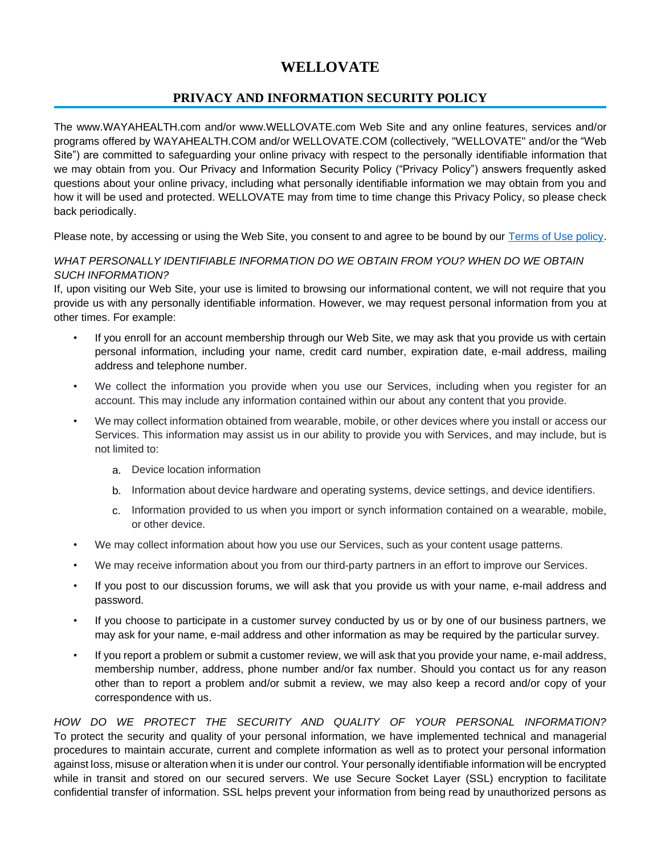# **WELLOVATE**

# **PRIVACY AND INFORMATION SECURITY POLICY**

The www.WAYAHEALTH.com and/or www.WELLOVATE.com Web Site and any online features, services and/or programs offered by WAYAHEALTH.COM and/or WELLOVATE.COM (collectively, "WELLOVATE" and/or the "Web Site") are committed to safeguarding your online privacy with respect to the personally identifiable information that we may obtain from you. Our Privacy and Information Security Policy ("Privacy Policy") answers frequently asked questions about your online privacy, including what personally identifiable information we may obtain from you and how it will be used and protected. WELLOVATE may from time to time change this Privacy Policy, so please check back periodically.

Please note, by accessing or using the Web Site, you consent to and agree to be bound by our [Terms of Use policy.](https://www.wayahealth.com/wp-content/uploads/2022/05/Website_Terms_of_Use.pdf)

#### *WHAT PERSONALLY IDENTIFIABLE INFORMATION DO WE OBTAIN FROM YOU? WHEN DO WE OBTAIN SUCH INFORMATION?*

If, upon visiting our Web Site, your use is limited to browsing our informational content, we will not require that you provide us with any personally identifiable information. However, we may request personal information from you at other times. For example:

- If you enroll for an account membership through our Web Site, we may ask that you provide us with certain personal information, including your name, credit card number, expiration date, e-mail address, mailing address and telephone number.
- We collect the information you provide when you use our Services, including when you register for an account. This may include any information contained within our about any content that you provide.
- We may collect information obtained from wearable, mobile, or other devices where you install or access our Services. This information may assist us in our ability to provide you with Services, and may include, but is not limited to:
	- a. Device location information
	- b. Information about device hardware and operating systems, device settings, and device identifiers.
	- c. Information provided to us when you import or synch information contained on a wearable, mobile, or other device.
- We may collect information about how you use our Services, such as your content usage patterns.
- We may receive information about you from our third-party partners in an effort to improve our Services.
- If you post to our discussion forums, we will ask that you provide us with your name, e-mail address and password.
- If you choose to participate in a customer survey conducted by us or by one of our business partners, we may ask for your name, e-mail address and other information as may be required by the particular survey.
- If you report a problem or submit a customer review, we will ask that you provide your name, e-mail address, membership number, address, phone number and/or fax number. Should you contact us for any reason other than to report a problem and/or submit a review, we may also keep a record and/or copy of your correspondence with us.

*HOW DO WE PROTECT THE SECURITY AND QUALITY OF YOUR PERSONAL INFORMATION?* To protect the security and quality of your personal information, we have implemented technical and managerial procedures to maintain accurate, current and complete information as well as to protect your personal information against loss, misuse or alteration when it is under our control. Your personally identifiable information will be encrypted while in transit and stored on our secured servers. We use Secure Socket Layer (SSL) encryption to facilitate confidential transfer of information. SSL helps prevent your information from being read by unauthorized persons as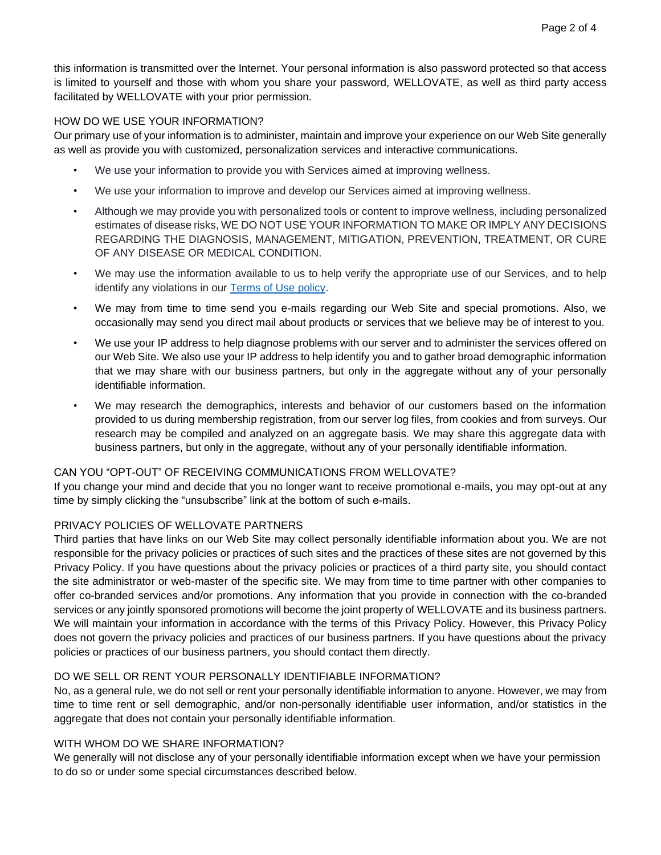this information is transmitted over the Internet. Your personal information is also password protected so that access is limited to yourself and those with whom you share your password, WELLOVATE, as well as third party access facilitated by WELLOVATE with your prior permission.

#### HOW DO WE USE YOUR INFORMATION?

Our primary use of your information is to administer, maintain and improve your experience on our Web Site generally as well as provide you with customized, personalization services and interactive communications.

- We use your information to provide you with Services aimed at improving wellness.
- We use your information to improve and develop our Services aimed at improving wellness.
- Although we may provide you with personalized tools or content to improve wellness, including personalized estimates of disease risks, WE DO NOT USE YOUR INFORMATION TO MAKE OR IMPLY ANY DECISIONS REGARDING THE DIAGNOSIS, MANAGEMENT, MITIGATION, PREVENTION, TREATMENT, OR CURE OF ANY DISEASE OR MEDICAL CONDITION.
- We may use the information available to us to help verify the appropriate use of our Services, and to help identify any violations in our [Terms of Use policy.](https://www.wayahealth.com/wp-content/uploads/2022/05/Website_Terms_of_Use.pdf)
- We may from time to time send you e-mails regarding our Web Site and special promotions. Also, we occasionally may send you direct mail about products or services that we believe may be of interest to you.
- We use your IP address to help diagnose problems with our server and to administer the services offered on our Web Site. We also use your IP address to help identify you and to gather broad demographic information that we may share with our business partners, but only in the aggregate without any of your personally identifiable information.
- We may research the demographics, interests and behavior of our customers based on the information provided to us during membership registration, from our server log files, from cookies and from surveys. Our research may be compiled and analyzed on an aggregate basis. We may share this aggregate data with business partners, but only in the aggregate, without any of your personally identifiable information.

#### CAN YOU "OPT-OUT" OF RECEIVING COMMUNICATIONS FROM WELLOVATE?

If you change your mind and decide that you no longer want to receive promotional e-mails, you may opt-out at any time by simply clicking the "unsubscribe" link at the bottom of such e-mails.

#### PRIVACY POLICIES OF WELLOVATE PARTNERS

Third parties that have links on our Web Site may collect personally identifiable information about you. We are not responsible for the privacy policies or practices of such sites and the practices of these sites are not governed by this Privacy Policy. If you have questions about the privacy policies or practices of a third party site, you should contact the site administrator or web-master of the specific site. We may from time to time partner with other companies to offer co-branded services and/or promotions. Any information that you provide in connection with the co-branded services or any jointly sponsored promotions will become the joint property of WELLOVATE and its business partners. We will maintain your information in accordance with the terms of this Privacy Policy. However, this Privacy Policy does not govern the privacy policies and practices of our business partners. If you have questions about the privacy policies or practices of our business partners, you should contact them directly.

#### DO WE SELL OR RENT YOUR PERSONALLY IDENTIFIABLE INFORMATION?

No, as a general rule, we do not sell or rent your personally identifiable information to anyone. However, we may from time to time rent or sell demographic, and/or non-personally identifiable user information, and/or statistics in the aggregate that does not contain your personally identifiable information.

#### WITH WHOM DO WE SHARE INFORMATION?

We generally will not disclose any of your personally identifiable information except when we have your permission to do so or under some special circumstances described below.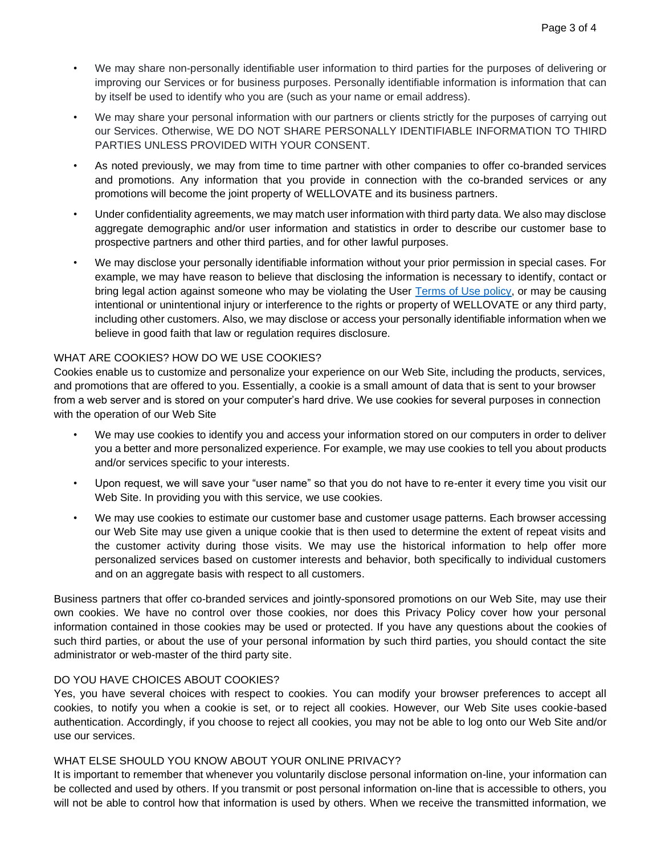- We may share your personal information with our partners or clients strictly for the purposes of carrying out our Services. Otherwise, WE DO NOT SHARE PERSONALLY IDENTIFIABLE INFORMATION TO THIRD PARTIES UNLESS PROVIDED WITH YOUR CONSENT.
- As noted previously, we may from time to time partner with other companies to offer co-branded services and promotions. Any information that you provide in connection with the co-branded services or any promotions will become the joint property of WELLOVATE and its business partners.
- Under confidentiality agreements, we may match user information with third party data. We also may disclose aggregate demographic and/or user information and statistics in order to describe our customer base to prospective partners and other third parties, and for other lawful purposes.
- We may disclose your personally identifiable information without your prior permission in special cases. For example, we may have reason to believe that disclosing the information is necessary to identify, contact or bring legal action against someone who may be violating the User [Terms of Use policy,](https://www.wayahealth.com/wp-content/uploads/2022/05/Website_Terms_of_Use.pdf) or may be causing intentional or unintentional injury or interference to the rights or property of WELLOVATE or any third party, including other customers. Also, we may disclose or access your personally identifiable information when we believe in good faith that law or regulation requires disclosure.

### WHAT ARE COOKIES? HOW DO WE USE COOKIES?

Cookies enable us to customize and personalize your experience on our Web Site, including the products, services, and promotions that are offered to you. Essentially, a cookie is a small amount of data that is sent to your browser from a web server and is stored on your computer's hard drive. We use cookies for several purposes in connection with the operation of our Web Site

- We may use cookies to identify you and access your information stored on our computers in order to deliver you a better and more personalized experience. For example, we may use cookies to tell you about products and/or services specific to your interests.
- Upon request, we will save your "user name" so that you do not have to re-enter it every time you visit our Web Site. In providing you with this service, we use cookies.
- We may use cookies to estimate our customer base and customer usage patterns. Each browser accessing our Web Site may use given a unique cookie that is then used to determine the extent of repeat visits and the customer activity during those visits. We may use the historical information to help offer more personalized services based on customer interests and behavior, both specifically to individual customers and on an aggregate basis with respect to all customers.

Business partners that offer co-branded services and jointly-sponsored promotions on our Web Site, may use their own cookies. We have no control over those cookies, nor does this Privacy Policy cover how your personal information contained in those cookies may be used or protected. If you have any questions about the cookies of such third parties, or about the use of your personal information by such third parties, you should contact the site administrator or web-master of the third party site.

## DO YOU HAVE CHOICES ABOUT COOKIES?

Yes, you have several choices with respect to cookies. You can modify your browser preferences to accept all cookies, to notify you when a cookie is set, or to reject all cookies. However, our Web Site uses cookie-based authentication. Accordingly, if you choose to reject all cookies, you may not be able to log onto our Web Site and/or use our services.

### WHAT ELSE SHOULD YOU KNOW ABOUT YOUR ONLINE PRIVACY?

It is important to remember that whenever you voluntarily disclose personal information on-line, your information can be collected and used by others. If you transmit or post personal information on-line that is accessible to others, you will not be able to control how that information is used by others. When we receive the transmitted information, we